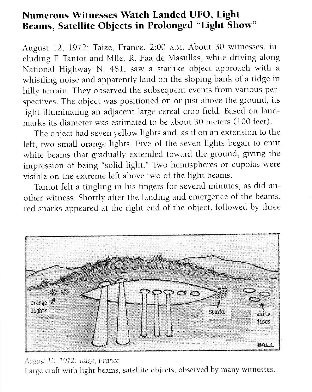## Numerous Witnesses Watch Landed UFO, Light Beams, Satellite Objects in Prolonged "Light Show"

August 12, 1972: Taize, France. 2:00 A.M. About 30 witnesses, including F. Tantot and Mlle. R. Faa de Masullas, while driving along National Highway N. 481, saw a starlike object approach with a whistling noise and apparently land on the sioping bank of a ridge in hilly terrain. They observed the subsequent events from various perspectives. The object was positioned on or just above the ground, its light illuminating an adjacent large cereal crop field. Based on landmarks its diameter was estimated to be about 30 meters (100 feet).

The object had seven yellow lights and, as if on an extension to the left, two small orange lights. Five of the seven lights began to emit white beams that gradually extended toward the ground, giving the impression of being "solid light." Two hemispheres or cupolas were visible on the extreme left above two of the light beams.

Tantot felt a tingling in his fingers for several minutes, as did another witness. Shortly after the landing and emergence of the beams, red sparks appeared at the right end of the object, followed by three



August 12, 1972: Taize, France Large craft with light beams, satellite objects, observed by many witnesses.